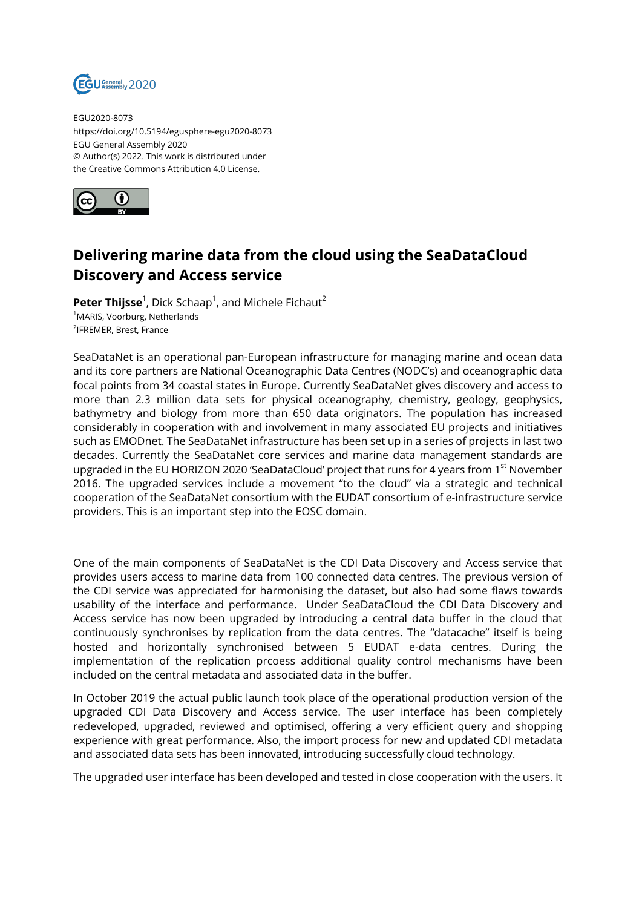

EGU2020-8073 https://doi.org/10.5194/egusphere-egu2020-8073 EGU General Assembly 2020 © Author(s) 2022. This work is distributed under the Creative Commons Attribution 4.0 License.



## **Delivering marine data from the cloud using the SeaDataCloud Discovery and Access service**

 $Peter\; This is a 1, Dick\; Schaap<sup>1</sup>, and Michele\; Fichaut<sup>2</sup>$ <sup>1</sup>MARIS, Voorburg, Netherlands 2 IFREMER, Brest, France

SeaDataNet is an operational pan-European infrastructure for managing marine and ocean data and its core partners are National Oceanographic Data Centres (NODC's) and oceanographic data focal points from 34 coastal states in Europe. Currently SeaDataNet gives discovery and access to more than 2.3 million data sets for physical oceanography, chemistry, geology, geophysics, bathymetry and biology from more than 650 data originators. The population has increased considerably in cooperation with and involvement in many associated EU projects and initiatives such as EMODnet. The SeaDataNet infrastructure has been set up in a series of projects in last two decades. Currently the SeaDataNet core services and marine data management standards are upgraded in the EU HORIZON 2020 'SeaDataCloud' project that runs for 4 years from 1<sup>st</sup> November 2016. The upgraded services include a movement "to the cloud" via a strategic and technical cooperation of the SeaDataNet consortium with the EUDAT consortium of e-infrastructure service providers. This is an important step into the EOSC domain.

One of the main components of SeaDataNet is the CDI Data Discovery and Access service that provides users access to marine data from 100 connected data centres. The previous version of the CDI service was appreciated for harmonising the dataset, but also had some flaws towards usability of the interface and performance. Under SeaDataCloud the CDI Data Discovery and Access service has now been upgraded by introducing a central data buffer in the cloud that continuously synchronises by replication from the data centres. The "datacache" itself is being hosted and horizontally synchronised between 5 EUDAT e-data centres. During the implementation of the replication prcoess additional quality control mechanisms have been included on the central metadata and associated data in the buffer.

In October 2019 the actual public launch took place of the operational production version of the upgraded CDI Data Discovery and Access service. The user interface has been completely redeveloped, upgraded, reviewed and optimised, offering a very efficient query and shopping experience with great performance. Also, the import process for new and updated CDI metadata and associated data sets has been innovated, introducing successfully cloud technology.

The upgraded user interface has been developed and tested in close cooperation with the users. It